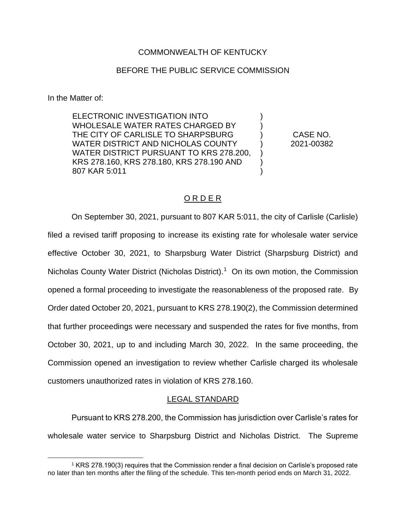## COMMONWEALTH OF KENTUCKY

### BEFORE THE PUBLIC SERVICE COMMISSION

In the Matter of:

ELECTRONIC INVESTIGATION INTO WHOLESALE WATER RATES CHARGED BY THE CITY OF CARLISLE TO SHARPSBURG WATER DISTRICT AND NICHOLAS COUNTY WATER DISTRICT PURSUANT TO KRS 278.200, KRS 278.160, KRS 278.180, KRS 278.190 AND 807 KAR 5:011  $\lambda$ 

CASE NO. 2021-00382

)

) ) ) ) )

# O R D E R

On September 30, 2021, pursuant to 807 KAR 5:011, the city of Carlisle (Carlisle) filed a revised tariff proposing to increase its existing rate for wholesale water service effective October 30, 2021, to Sharpsburg Water District (Sharpsburg District) and Nicholas County Water District (Nicholas District).<sup>1</sup> On its own motion, the Commission opened a formal proceeding to investigate the reasonableness of the proposed rate. By Order dated October 20, 2021, pursuant to KRS 278.190(2), the Commission determined that further proceedings were necessary and suspended the rates for five months, from October 30, 2021, up to and including March 30, 2022. In the same proceeding, the Commission opened an investigation to review whether Carlisle charged its wholesale customers unauthorized rates in violation of KRS 278.160.

#### LEGAL STANDARD

Pursuant to KRS 278.200, the Commission has jurisdiction over Carlisle's rates for wholesale water service to Sharpsburg District and Nicholas District. The Supreme

<sup>1</sup> KRS 278.190(3) requires that the Commission render a final decision on Carlisle's proposed rate no later than ten months after the filing of the schedule. This ten-month period ends on March 31, 2022.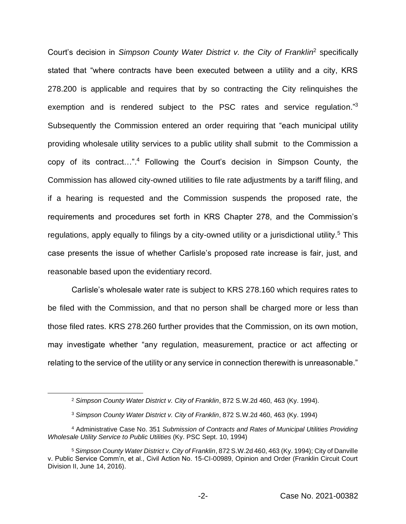Court's decision in *Simpson County Water District v. the City of Franklin*<sup>2</sup> specifically stated that "where contracts have been executed between a utility and a city, KRS 278.200 is applicable and requires that by so contracting the City relinquishes the exemption and is rendered subject to the PSC rates and service regulation."<sup>3</sup> Subsequently the Commission entered an order requiring that "each municipal utility providing wholesale utility services to a public utility shall submit to the Commission a copy of its contract...".<sup>4</sup> Following the Court's decision in Simpson County, the Commission has allowed city-owned utilities to file rate adjustments by a tariff filing, and if a hearing is requested and the Commission suspends the proposed rate, the requirements and procedures set forth in KRS Chapter 278, and the Commission's regulations, apply equally to filings by a city-owned utility or a jurisdictional utility.<sup>5</sup> This case presents the issue of whether Carlisle's proposed rate increase is fair, just, and reasonable based upon the evidentiary record.

Carlisle's wholesale water rate is subject to KRS 278.160 which requires rates to be filed with the Commission, and that no person shall be charged more or less than those filed rates. KRS 278.260 further provides that the Commission, on its own motion, may investigate whether "any regulation, measurement, practice or act affecting or relating to the service of the utility or any service in connection therewith is unreasonable."

<sup>2</sup> *Simpson County Water District v. City of Franklin*, 872 S.W.2d 460, 463 (Ky. 1994).

<sup>3</sup> *Simpson County Water District v. City of Franklin*, 872 S.W.2d 460, 463 (Ky. 1994)

<sup>4</sup> Administrative Case No. 351 *Submission of Contracts and Rates of Municipal Utilities Providing Wholesale Utility Service to Public Utilities* (Ky. PSC Sept. 10, 1994)

<sup>5</sup> *Simpson County Water District v. City of Franklin*, 872 S.W.2d 460, 463 (Ky. 1994); City of Danville v. Public Service Comm'n, et al., Civil Action No. 15-CI-00989, Opinion and Order (Franklin Circuit Court Division II, June 14, 2016).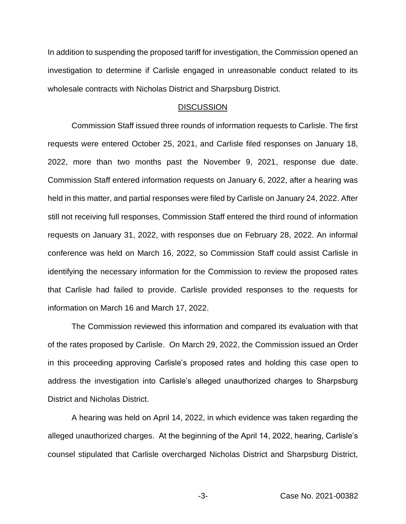In addition to suspending the proposed tariff for investigation, the Commission opened an investigation to determine if Carlisle engaged in unreasonable conduct related to its wholesale contracts with Nicholas District and Sharpsburg District.

#### **DISCUSSION**

Commission Staff issued three rounds of information requests to Carlisle. The first requests were entered October 25, 2021, and Carlisle filed responses on January 18, 2022, more than two months past the November 9, 2021, response due date. Commission Staff entered information requests on January 6, 2022, after a hearing was held in this matter, and partial responses were filed by Carlisle on January 24, 2022. After still not receiving full responses, Commission Staff entered the third round of information requests on January 31, 2022, with responses due on February 28, 2022. An informal conference was held on March 16, 2022, so Commission Staff could assist Carlisle in identifying the necessary information for the Commission to review the proposed rates that Carlisle had failed to provide. Carlisle provided responses to the requests for information on March 16 and March 17, 2022.

The Commission reviewed this information and compared its evaluation with that of the rates proposed by Carlisle. On March 29, 2022, the Commission issued an Order in this proceeding approving Carlisle's proposed rates and holding this case open to address the investigation into Carlisle's alleged unauthorized charges to Sharpsburg District and Nicholas District.

A hearing was held on April 14, 2022, in which evidence was taken regarding the alleged unauthorized charges. At the beginning of the April 14, 2022, hearing, Carlisle's counsel stipulated that Carlisle overcharged Nicholas District and Sharpsburg District,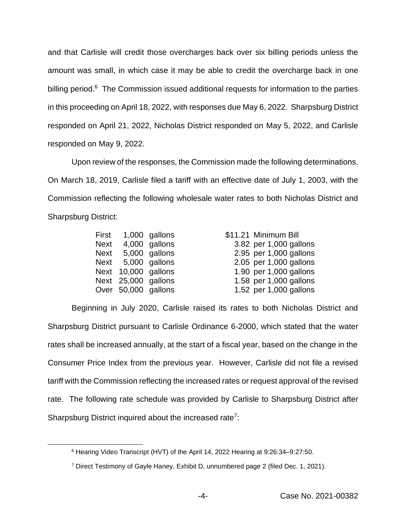and that Carlisle will credit those overcharges back over six billing periods unless the amount was small, in which case it may be able to credit the overcharge back in one billing period.<sup>6</sup> The Commission issued additional requests for information to the parties in this proceeding on April 18, 2022, with responses due May 6, 2022. Sharpsburg District responded on April 21, 2022, Nicholas District responded on May 5, 2022, and Carlisle responded on May 9, 2022.

Upon review of the responses, the Commission made the following determinations. On March 18, 2019, Carlisle filed a tariff with an effective date of July 1, 2003, with the Commission reflecting the following wholesale water rates to both Nicholas District and Sharpsburg District:

| First 1,000 gallons | \$11.21 Minimum Bill   |
|---------------------|------------------------|
| Next 4,000 gallons  | 3.82 per 1,000 gallons |
| Next 5,000 gallons  | 2.95 per 1,000 gallons |
| Next 5,000 gallons  | 2.05 per 1,000 gallons |
| Next 10,000 gallons | 1.90 per 1,000 gallons |
| Next 25,000 gallons | 1.58 per 1,000 gallons |
| Over 50,000 gallons | 1.52 per 1,000 gallons |

Beginning in July 2020, Carlisle raised its rates to both Nicholas District and Sharpsburg District pursuant to Carlisle Ordinance 6-2000, which stated that the water rates shall be increased annually, at the start of a fiscal year, based on the change in the Consumer Price Index from the previous year. However, Carlisle did not file a revised tariff with the Commission reflecting the increased rates or request approval of the revised rate. The following rate schedule was provided by Carlisle to Sharpsburg District after Sharpsburg District inquired about the increased rate<sup>7</sup>:

<sup>6</sup> Hearing Video Transcript (HVT) of the April 14, 2022 Hearing at 9:26:34–9:27:50.

<sup>7</sup> Direct Testimony of Gayle Haney, Exhibit D, unnumbered page 2 (filed Dec. 1, 2021).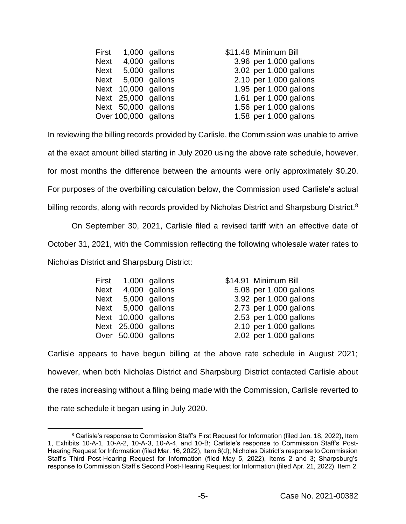| First |                      | 1,000 gallons | \$11.48 Minimum Bill   |
|-------|----------------------|---------------|------------------------|
|       | Next 4,000 gallons   |               | 3.96 per 1,000 gallons |
|       | Next 5,000 gallons   |               | 3.02 per 1,000 gallons |
|       | Next 5,000 gallons   |               | 2.10 per 1,000 gallons |
|       | Next 10,000 gallons  |               | 1.95 per 1,000 gallons |
|       | Next 25,000 gallons  |               | 1.61 per 1,000 gallons |
|       | Next 50,000 gallons  |               | 1.56 per 1,000 gallons |
|       | Over 100,000 gallons |               | 1.58 per 1,000 gallons |

In reviewing the billing records provided by Carlisle, the Commission was unable to arrive at the exact amount billed starting in July 2020 using the above rate schedule, however, for most months the difference between the amounts were only approximately \$0.20. For purposes of the overbilling calculation below, the Commission used Carlisle's actual billing records, along with records provided by Nicholas District and Sharpsburg District.<sup>8</sup>

On September 30, 2021, Carlisle filed a revised tariff with an effective date of October 31, 2021, with the Commission reflecting the following wholesale water rates to Nicholas District and Sharpsburg District:

| First       |                     | 1,000 gallons | \$14.91 Minimum Bill   |
|-------------|---------------------|---------------|------------------------|
| <b>Next</b> |                     | 4,000 gallons | 5.08 per 1,000 gallons |
|             | Next 5,000 gallons  |               | 3.92 per 1,000 gallons |
|             | Next 5,000 gallons  |               | 2.73 per 1,000 gallons |
|             | Next 10,000 gallons |               | 2.53 per 1,000 gallons |
|             | Next 25,000 gallons |               | 2.10 per 1,000 gallons |
|             | Over 50,000 gallons |               | 2.02 per 1,000 gallons |
|             |                     |               |                        |

Carlisle appears to have begun billing at the above rate schedule in August 2021; however, when both Nicholas District and Sharpsburg District contacted Carlisle about the rates increasing without a filing being made with the Commission, Carlisle reverted to the rate schedule it began using in July 2020.

<sup>&</sup>lt;sup>8</sup> Carlisle's response to Commission Staff's First Request for Information (filed Jan. 18, 2022), Item 1, Exhibits 10-A-1, 10-A-2, 10-A-3, 10-A-4, and 10-B; Carlisle's response to Commission Staff's Post-Hearing Request for Information (filed Mar. 16, 2022), Item 6(d); Nicholas District's response to Commission Staff's Third Post-Hearing Request for Information (filed May 5, 2022), Items 2 and 3; Sharpsburg's response to Commission Staff's Second Post-Hearing Request for Information (filed Apr. 21, 2022), Item 2.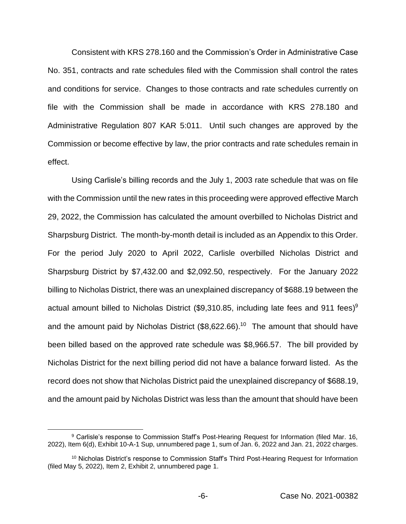Consistent with KRS 278.160 and the Commission's Order in Administrative Case No. 351, contracts and rate schedules filed with the Commission shall control the rates and conditions for service. Changes to those contracts and rate schedules currently on file with the Commission shall be made in accordance with KRS 278.180 and Administrative Regulation 807 KAR 5:011. Until such changes are approved by the Commission or become effective by law, the prior contracts and rate schedules remain in effect.

Using Carlisle's billing records and the July 1, 2003 rate schedule that was on file with the Commission until the new rates in this proceeding were approved effective March 29, 2022, the Commission has calculated the amount overbilled to Nicholas District and Sharpsburg District. The month-by-month detail is included as an Appendix to this Order. For the period July 2020 to April 2022, Carlisle overbilled Nicholas District and Sharpsburg District by \$7,432.00 and \$2,092.50, respectively. For the January 2022 billing to Nicholas District, there was an unexplained discrepancy of \$688.19 between the actual amount billed to Nicholas District (\$9,310.85, including late fees and 911 fees)<sup>9</sup> and the amount paid by Nicholas District (\$8,622.66).<sup>10</sup> The amount that should have been billed based on the approved rate schedule was \$8,966.57. The bill provided by Nicholas District for the next billing period did not have a balance forward listed. As the record does not show that Nicholas District paid the unexplained discrepancy of \$688.19, and the amount paid by Nicholas District was less than the amount that should have been

<sup>9</sup> Carlisle's response to Commission Staff's Post-Hearing Request for Information (filed Mar. 16, 2022), Item 6(d), Exhibit 10-A-1 Sup, unnumbered page 1, sum of Jan. 6, 2022 and Jan. 21, 2022 charges.

<sup>10</sup> Nicholas District's response to Commission Staff's Third Post-Hearing Request for Information (filed May 5, 2022), Item 2, Exhibit 2, unnumbered page 1.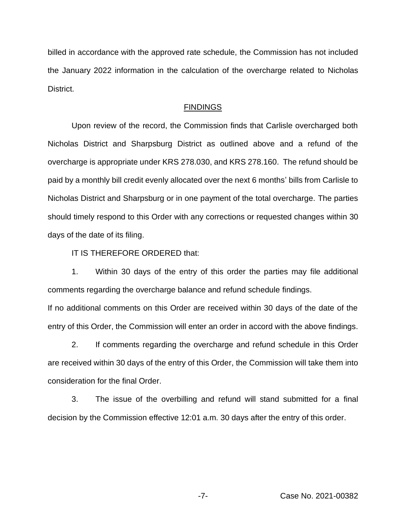billed in accordance with the approved rate schedule, the Commission has not included the January 2022 information in the calculation of the overcharge related to Nicholas District.

### FINDINGS

Upon review of the record, the Commission finds that Carlisle overcharged both Nicholas District and Sharpsburg District as outlined above and a refund of the overcharge is appropriate under KRS 278.030, and KRS 278.160. The refund should be paid by a monthly bill credit evenly allocated over the next 6 months' bills from Carlisle to Nicholas District and Sharpsburg or in one payment of the total overcharge. The parties should timely respond to this Order with any corrections or requested changes within 30 days of the date of its filing.

IT IS THEREFORE ORDERED that:

1. Within 30 days of the entry of this order the parties may file additional comments regarding the overcharge balance and refund schedule findings.

If no additional comments on this Order are received within 30 days of the date of the entry of this Order, the Commission will enter an order in accord with the above findings.

2. If comments regarding the overcharge and refund schedule in this Order are received within 30 days of the entry of this Order, the Commission will take them into consideration for the final Order.

3. The issue of the overbilling and refund will stand submitted for a final decision by the Commission effective 12:01 a.m. 30 days after the entry of this order.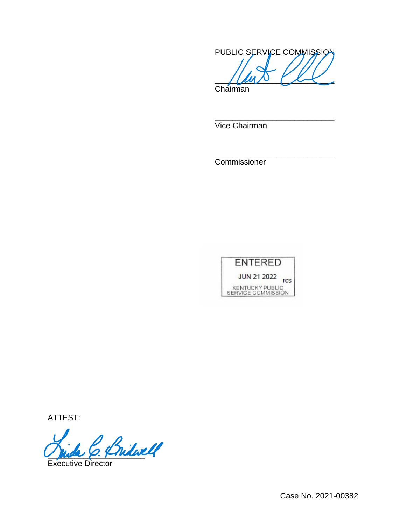

\_\_\_\_\_\_\_\_\_\_\_\_\_\_\_\_\_\_\_\_\_\_\_\_\_\_\_

\_\_\_\_\_\_\_\_\_\_\_\_\_\_\_\_\_\_\_\_\_\_\_\_\_\_\_

Chairman

Vice Chairman

Commissioner



ATTEST:

Bridwell

Executive Director

Case No. 2021-00382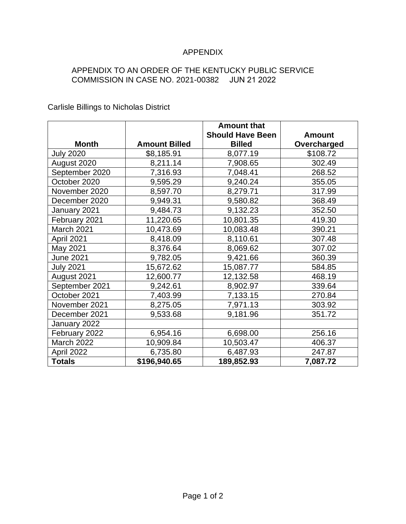# APPENDIX

# APPENDIX TO AN ORDER OF THE KENTUCKY PUBLIC SERVICE COMMISSION IN CASE NO. 2021-00382 JUN 21 2022

Carlisle Billings to Nicholas District

|                   |                      | <b>Amount that</b>      |               |
|-------------------|----------------------|-------------------------|---------------|
|                   |                      | <b>Should Have Been</b> | <b>Amount</b> |
| <b>Month</b>      | <b>Amount Billed</b> | <b>Billed</b>           | Overcharged   |
| <b>July 2020</b>  | \$8,185.91           | 8,077.19                | \$108.72      |
| August 2020       | 8,211.14             | 7,908.65                | 302.49        |
| September 2020    | 7,316.93             | 7,048.41                | 268.52        |
| October 2020      | 9,595.29             | 9,240.24                | 355.05        |
| November 2020     | 8,597.70             | 8,279.71                | 317.99        |
| December 2020     | 9,949.31             | 9,580.82                | 368.49        |
| January 2021      | 9,484.73             | 9,132.23                | 352.50        |
| February 2021     | 11,220.65            | 10,801.35               | 419.30        |
| March 2021        | 10,473.69            | 10,083.48               | 390.21        |
| April 2021        | 8,418.09             | 8,110.61                | 307.48        |
| May 2021          | 8,376.64             | 8,069.62                | 307.02        |
| June 2021         | 9,782.05             | 9,421.66                | 360.39        |
| <b>July 2021</b>  | 15,672.62            | 15,087.77               | 584.85        |
| August 2021       | 12,600.77            | 12,132.58               | 468.19        |
| September 2021    | 9,242.61             | 8,902.97                | 339.64        |
| October 2021      | 7,403.99             | 7,133.15                | 270.84        |
| November 2021     | 8,275.05             | 7,971.13                | 303.92        |
| December 2021     | 9,533.68             | 9,181.96                | 351.72        |
| January 2022      |                      |                         |               |
| February 2022     | 6,954.16             | 6,698.00                | 256.16        |
| <b>March 2022</b> | 10,909.84            | 10,503.47               | 406.37        |
| April 2022        | 6,735.80             | 6,487.93                | 247.87        |
| <b>Totals</b>     | \$196,940.65         | 189,852.93              | 7,087.72      |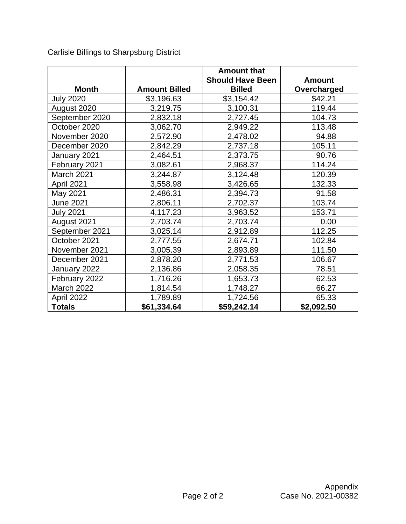Carlisle Billings to Sharpsburg District

|                  |                      | <b>Amount that</b>      |               |
|------------------|----------------------|-------------------------|---------------|
|                  |                      | <b>Should Have Been</b> | <b>Amount</b> |
| <b>Month</b>     | <b>Amount Billed</b> | <b>Billed</b>           | Overcharged   |
| <b>July 2020</b> | \$3,196.63           | \$3,154.42              | \$42.21       |
| August 2020      | 3,219.75             | 3,100.31                | 119.44        |
| September 2020   | 2,832.18             | 2,727.45                | 104.73        |
| October 2020     | 3,062.70             | 2,949.22                | 113.48        |
| November 2020    | 2,572.90             | 2,478.02                | 94.88         |
| December 2020    | 2,842.29             | 2,737.18                | 105.11        |
| January 2021     | 2,464.51             | 2,373.75                | 90.76         |
| February 2021    | 3,082.61             | 2,968.37                | 114.24        |
| March 2021       | 3,244.87             | 3,124.48                | 120.39        |
| April 2021       | 3,558.98             | 3,426.65                | 132.33        |
| May 2021         | 2,486.31             | 2,394.73                | 91.58         |
| <b>June 2021</b> | 2,806.11             | 2,702.37                | 103.74        |
| <b>July 2021</b> | 4,117.23             | 3,963.52                | 153.71        |
| August 2021      | 2,703.74             | 2,703.74                | 0.00          |
| September 2021   | 3,025.14             | 2,912.89                | 112.25        |
| October 2021     | 2,777.55             | 2,674.71                | 102.84        |
| November 2021    | 3,005.39             | 2,893.89                | 111.50        |
| December 2021    | 2,878.20             | 2,771.53                | 106.67        |
| January 2022     | 2,136.86             | 2,058.35                | 78.51         |
| February 2022    | 1,716.26             | 1,653.73                | 62.53         |
| March 2022       | 1,814.54             | 1,748.27                | 66.27         |
| April 2022       | 1,789.89             | 1,724.56                | 65.33         |
| <b>Totals</b>    | \$61,334.64          | \$59,242.14             | \$2,092.50    |